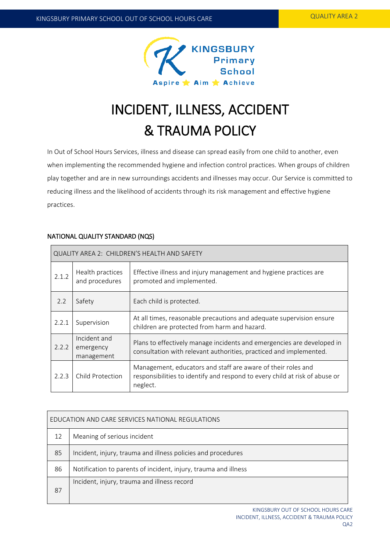

# INCIDENT, ILLNESS, ACCIDENT & TRAUMA POLICY

In Out of School Hours Services, illness and disease can spread easily from one child to another, even when implementing the recommended hygiene and infection control practices. When groups of children play together and are in new surroundings accidents and illnesses may occur. Our Service is committed to reducing illness and the likelihood of accidents through its risk management and effective hygiene practices.

# NATIONAL QUALITY STANDARD (NQS)

| QUALITY AREA 2: CHILDREN'S HEALTH AND SAFETY |                                         |                                                                                                                                                         |  |  |  |
|----------------------------------------------|-----------------------------------------|---------------------------------------------------------------------------------------------------------------------------------------------------------|--|--|--|
| 2.1.2                                        | Health practices<br>and procedures      | Effective illness and injury management and hygiene practices are<br>promoted and implemented.                                                          |  |  |  |
| 2.2                                          | Safety                                  | Each child is protected.                                                                                                                                |  |  |  |
| 2.2.1                                        | Supervision                             | At all times, reasonable precautions and adequate supervision ensure<br>children are protected from harm and hazard.                                    |  |  |  |
| 2.2.2                                        | Incident and<br>emergency<br>management | Plans to effectively manage incidents and emergencies are developed in<br>consultation with relevant authorities, practiced and implemented.            |  |  |  |
| 2.2.3                                        | Child Protection                        | Management, educators and staff are aware of their roles and<br>responsibilities to identify and respond to every child at risk of abuse or<br>neglect. |  |  |  |

| EDUCATION AND CARE SERVICES NATIONAL REGULATIONS |                                                                 |  |  |  |
|--------------------------------------------------|-----------------------------------------------------------------|--|--|--|
| 12                                               | Meaning of serious incident                                     |  |  |  |
| 85                                               | Incident, injury, trauma and illness policies and procedures    |  |  |  |
| 86                                               | Notification to parents of incident, injury, trauma and illness |  |  |  |
| 87                                               | Incident, injury, trauma and illness record                     |  |  |  |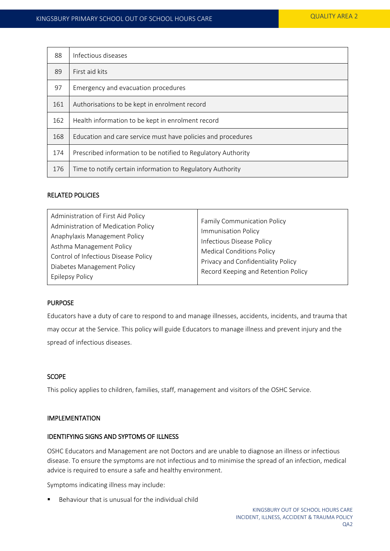| 88  | Infectious diseases                                           |  |  |
|-----|---------------------------------------------------------------|--|--|
| 89  | First aid kits                                                |  |  |
| 97  | Emergency and evacuation procedures                           |  |  |
| 161 | Authorisations to be kept in enrolment record                 |  |  |
| 162 | Health information to be kept in enrolment record             |  |  |
| 168 | Education and care service must have policies and procedures  |  |  |
| 174 | Prescribed information to be notified to Regulatory Authority |  |  |
| 176 | Time to notify certain information to Regulatory Authority    |  |  |

## RELATED POLICIES

## PURPOSE

Educators have a duty of care to respond to and manage illnesses, accidents, incidents, and trauma that may occur at the Service. This policy will guide Educators to manage illness and prevent injury and the spread of infectious diseases.

## **SCOPE**

This policy applies to children, families, staff, management and visitors of the OSHC Service.

## IMPLEMENTATION

## IDENTIFYING SIGNS AND SYPTOMS OF ILLNESS

OSHC Educators and Management are not Doctors and are unable to diagnose an illness or infectious disease. To ensure the symptoms are not infectious and to minimise the spread of an infection, medical advice is required to ensure a safe and healthy environment.

Symptoms indicating illness may include:

Behaviour that is unusual for the individual child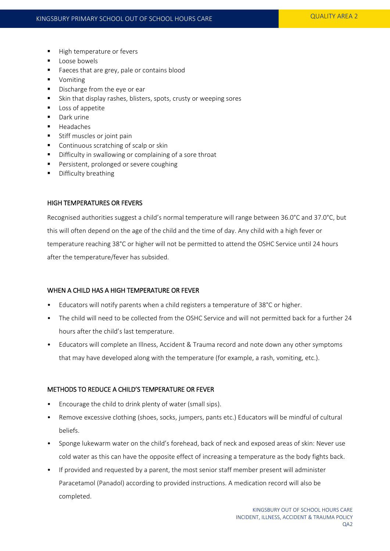- High temperature or fevers
- **Loose bowels**
- Faeces that are grey, pale or contains blood
- **•** Vomiting
- Discharge from the eye or ear
- Skin that display rashes, blisters, spots, crusty or weeping sores
- **Loss of appetite**
- **Dark urine**
- **Headaches**
- Stiff muscles or joint pain
- **Continuous scratching of scalp or skin**
- Difficulty in swallowing or complaining of a sore throat
- Persistent, prolonged or severe coughing
- **Difficulty breathing**

## HIGH TEMPERATURES OR FEVERS

Recognised authorities suggest a child's normal temperature will range between 36.0°C and 37.0°C, but this will often depend on the age of the child and the time of day. Any child with a high fever or temperature reaching 38°C or higher will not be permitted to attend the OSHC Service until 24 hours after the temperature/fever has subsided.

# WHEN A CHILD HAS A HIGH TEMPERATURE OR FEVER

- Educators will notify parents when a child registers a temperature of 38°C or higher.
- The child will need to be collected from the OSHC Service and will not permitted back for a further 24 hours after the child's last temperature.
- Educators will complete an Illness, Accident & Trauma record and note down any other symptoms that may have developed along with the temperature (for example, a rash, vomiting, etc.).

## METHODS TO REDUCE A CHILD'S TEMPERATURE OR FEVER

- Encourage the child to drink plenty of water (small sips).
- Remove excessive clothing (shoes, socks, jumpers, pants etc.) Educators will be mindful of cultural beliefs.
- Sponge lukewarm water on the child's forehead, back of neck and exposed areas of skin: Never use cold water as this can have the opposite effect of increasing a temperature as the body fights back.
- If provided and requested by a parent, the most senior staff member present will administer Paracetamol (Panadol) according to provided instructions. A medication record will also be completed.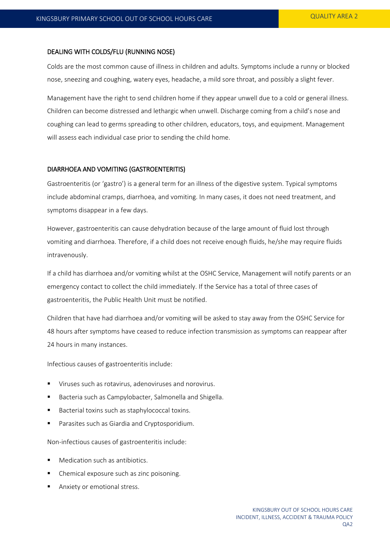#### DEALING WITH COLDS/FLU (RUNNING NOSE)

Colds are the most common cause of illness in children and adults. Symptoms include a runny or blocked nose, sneezing and coughing, watery eyes, headache, a mild sore throat, and possibly a slight fever.

Management have the right to send children home if they appear unwell due to a cold or general illness. Children can become distressed and lethargic when unwell. Discharge coming from a child's nose and coughing can lead to germs spreading to other children, educators, toys, and equipment. Management will assess each individual case prior to sending the child home.

## DIARRHOEA AND VOMITING (GASTROENTERITIS)

Gastroenteritis (or 'gastro') is a general term for an illness of the digestive system. Typical symptoms include abdominal cramps, diarrhoea, and vomiting. In many cases, it does not need treatment, and symptoms disappear in a few days.

However, gastroenteritis can cause dehydration because of the large amount of fluid lost through vomiting and diarrhoea. Therefore, if a child does not receive enough fluids, he/she may require fluids intravenously.

If a child has diarrhoea and/or vomiting whilst at the OSHC Service, Management will notify parents or an emergency contact to collect the child immediately. If the Service has a total of three cases of gastroenteritis, the Public Health Unit must be notified.

Children that have had diarrhoea and/or vomiting will be asked to stay away from the OSHC Service for 48 hours after symptoms have ceased to reduce infection transmission as symptoms can reappear after 24 hours in many instances.

Infectious causes of gastroenteritis include:

- Viruses such as rotavirus, adenoviruses and norovirus.
- Bacteria such as Campylobacter, Salmonella and Shigella.
- Bacterial toxins such as staphylococcal toxins.
- **Parasites such as Giardia and Cryptosporidium.**

Non-infectious causes of gastroenteritis include:

- Medication such as antibiotics.
- Chemical exposure such as zinc poisoning.
- Anxiety or emotional stress.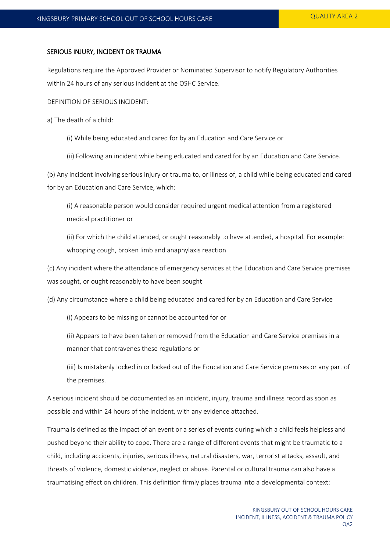## SERIOUS INJURY, INCIDENT OR TRAUMA

Regulations require the Approved Provider or Nominated Supervisor to notify Regulatory Authorities within 24 hours of any serious incident at the OSHC Service.

DEFINITION OF SERIOUS INCIDENT:

a) The death of a child:

(i) While being educated and cared for by an Education and Care Service or

(ii) Following an incident while being educated and cared for by an Education and Care Service.

(b) Any incident involving serious injury or trauma to, or illness of, a child while being educated and cared for by an Education and Care Service, which:

(i) A reasonable person would consider required urgent medical attention from a registered medical practitioner or

(ii) For which the child attended, or ought reasonably to have attended, a hospital. For example: whooping cough, broken limb and anaphylaxis reaction

(c) Any incident where the attendance of emergency services at the Education and Care Service premises was sought, or ought reasonably to have been sought

(d) Any circumstance where a child being educated and cared for by an Education and Care Service

(i) Appears to be missing or cannot be accounted for or

(ii) Appears to have been taken or removed from the Education and Care Service premises in a manner that contravenes these regulations or

(iii) Is mistakenly locked in or locked out of the Education and Care Service premises or any part of the premises.

A serious incident should be documented as an incident, injury, trauma and illness record as soon as possible and within 24 hours of the incident, with any evidence attached.

Trauma is defined as the impact of an event or a series of events during which a child feels helpless and pushed beyond their ability to cope. There are a range of different events that might be traumatic to a child, including accidents, injuries, serious illness, natural disasters, war, terrorist attacks, assault, and threats of violence, domestic violence, neglect or abuse. Parental or cultural trauma can also have a traumatising effect on children. This definition firmly places trauma into a developmental context: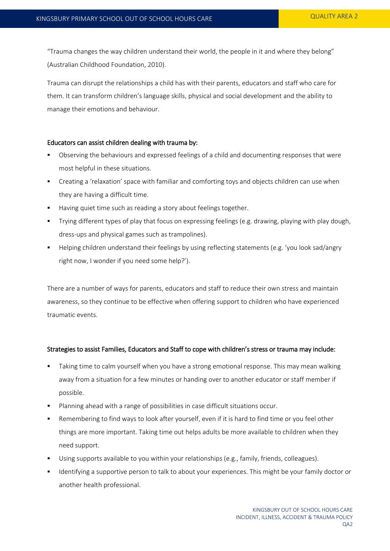"Trauma changes the way children understand their world, the people in it and where they belong" (Australian Childhood Foundation, 2010).

Trauma can disrupt the relationships a child has with their parents, educators and staff who care for them. It can transform children's language skills, physical and social development and the ability to manage their emotions and behaviour.

## Educators can assist children dealing with trauma by:

- Observing the behaviours and expressed feelings of a child and documenting responses that were most helpful in these situations.
- Creating a 'relaxation' space with familiar and comforting toys and objects children can use when they are having a difficult time.
- Having quiet time such as reading a story about feelings together.
- Trying different types of play that focus on expressing feelings (e.g. drawing, playing with play dough, dress-ups and physical games such as trampolines).
- Helping children understand their feelings by using reflecting statements (e.g. 'you look sad/angry right now, I wonder if you need some help?').

There are a number of ways for parents, educators and staff to reduce their own stress and maintain awareness, so they continue to be effective when offering support to children who have experienced traumatic events.

## Strategies to assist Families, Educators and Staff to cope with children's stress or trauma may include:

- Taking time to calm yourself when you have a strong emotional response. This may mean walking away from a situation for a few minutes or handing over to another educator or staff member if possible.
- Planning ahead with a range of possibilities in case difficult situations occur.
- Remembering to find ways to look after yourself, even if it is hard to find time or you feel other things are more important. Taking time out helps adults be more available to children when they need support.
- Using supports available to you within your relationships (e.g., family, friends, colleagues).
- Identifying a supportive person to talk to about your experiences. This might be your family doctor or another health professional.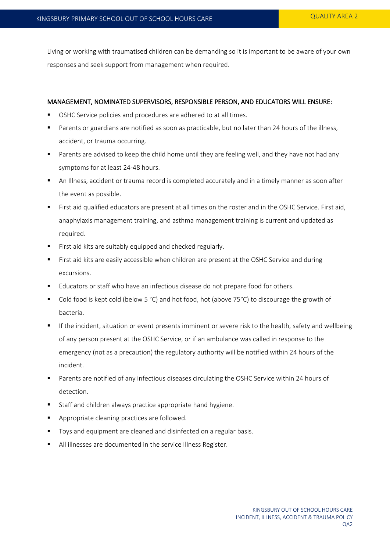Living or working with traumatised children can be demanding so it is important to be aware of your own responses and seek support from management when required.

# MANAGEMENT, NOMINATED SUPERVISORS, RESPONSIBLE PERSON, AND EDUCATORS WILL ENSURE:

- OSHC Service policies and procedures are adhered to at all times.
- Parents or guardians are notified as soon as practicable, but no later than 24 hours of the illness, accident, or trauma occurring.
- **Parents are advised to keep the child home until they are feeling well, and they have not had any** symptoms for at least 24-48 hours.
- An Illness, accident or trauma record is completed accurately and in a timely manner as soon after the event as possible.
- First aid qualified educators are present at all times on the roster and in the OSHC Service. First aid, anaphylaxis management training, and asthma management training is current and updated as required.
- First aid kits are suitably equipped and checked regularly.
- First aid kits are easily accessible when children are present at the OSHC Service and during excursions.
- Educators or staff who have an infectious disease do not prepare food for others.
- Cold food is kept cold (below 5 °C) and hot food, hot (above 75°C) to discourage the growth of bacteria.
- If the incident, situation or event presents imminent or severe risk to the health, safety and wellbeing of any person present at the OSHC Service, or if an ambulance was called in response to the emergency (not as a precaution) the regulatory authority will be notified within 24 hours of the incident.
- Parents are notified of any infectious diseases circulating the OSHC Service within 24 hours of detection.
- **Staff and children always practice appropriate hand hygiene.**
- Appropriate cleaning practices are followed.
- Toys and equipment are cleaned and disinfected on a regular basis.
- All illnesses are documented in the service Illness Register.